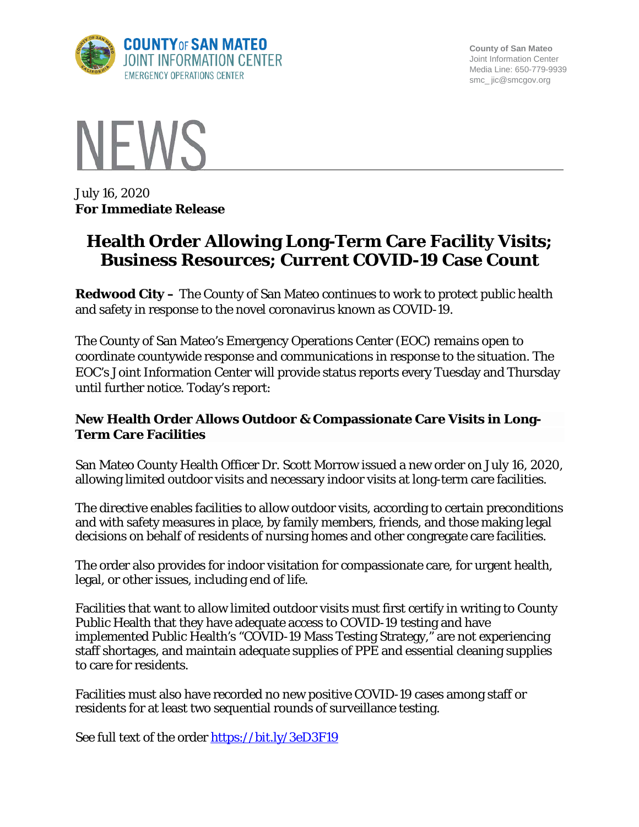

**County of San Mateo** Joint Information Center Media Line: 650-779-9939 smc\_ jic@smcgov.org



July 16, 2020 **For Immediate Release**

# **Health Order Allowing Long-Term Care Facility Visits; Business Resources; Current COVID-19 Case Count**

**Redwood City –** The County of San Mateo continues to work to protect public health and safety in response to the novel coronavirus known as COVID-19.

The County of San Mateo's Emergency Operations Center (EOC) remains open to coordinate countywide response and communications in response to the situation. The EOC's Joint Information Center will provide status reports every Tuesday and Thursday until further notice. Today's report:

### **New Health Order Allows Outdoor & Compassionate Care Visits in Long-Term Care Facilities**

San Mateo County Health Officer Dr. Scott Morrow issued a new order on July 16, 2020, allowing limited outdoor visits and necessary indoor visits at long-term care facilities.

The directive enables facilities to allow outdoor visits, according to certain preconditions and with safety measures in place, by family members, friends, and those making legal decisions on behalf of residents of nursing homes and other congregate care facilities.

The order also provides for indoor visitation for compassionate care, for urgent health, legal, or other issues, including end of life.

Facilities that want to allow limited outdoor visits must first certify in writing to County Public Health that they have adequate access to COVID-19 testing and have implemented Public Health's "COVID-19 Mass Testing Strategy," are not experiencing staff shortages, and maintain adequate supplies of PPE and essential cleaning supplies to care for residents.

Facilities must also have recorded no new positive COVID-19 cases among staff or residents for at least two sequential rounds of surveillance testing.

See full text of the order<https://bit.ly/3eD3F19>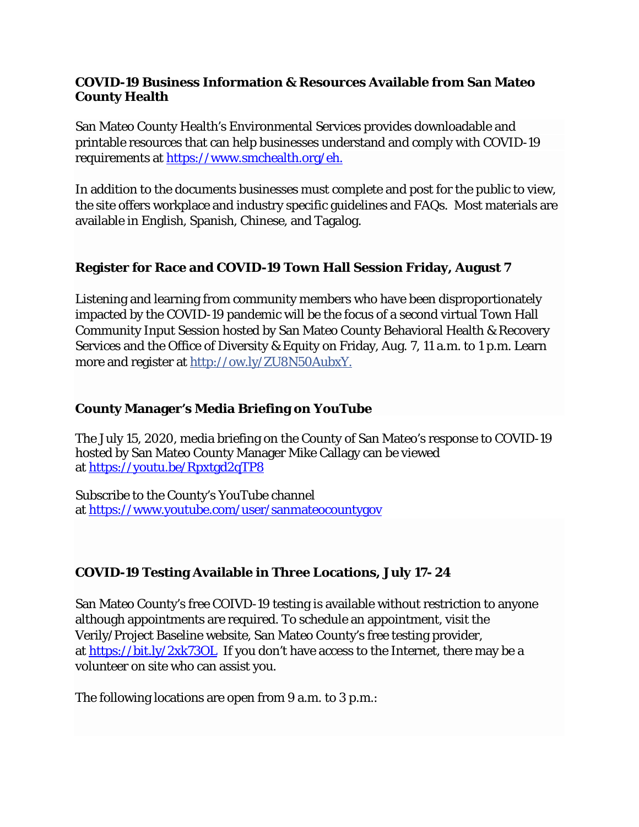#### **COVID-19 Business Information & Resources Available from San Mateo County Health**

San Mateo County Health's Environmental Services provides downloadable and printable resources that can help businesses understand and comply with COVID-19 requirements at [https://www.smchealth.org/eh.](https://www.smchealth.org/eh)

In addition to the documents businesses must complete and post for the public to view, the site offers workplace and industry specific guidelines and FAQs. Most materials are available in English, Spanish, Chinese, and Tagalog.

### **Register for Race and COVID-19 Town Hall Session Friday, August 7**

Listening and learning from community members who have been disproportionately impacted by the COVID-19 pandemic will be the focus of a second virtual Town Hall Community Input Session hosted by San Mateo County Behavioral Health & Recovery Services and the Office of Diversity & Equity on Friday, Aug. 7, 11 a.m. to 1 p.m. Learn more and register at [http://ow.ly/ZU8N50AubxY.](https://l.facebook.com/l.php?u=http%3A%2F%2Fow.ly%2FZU8N50AubxY%3Ffbclid%3DIwAR2qLgUtNG3xfd3cNYvJ1NQTUjuhPvlFzqsZw_a9JZ7jmKlFnNLGr-LdnY0&h=AT1cNZWb07fm2EiLI2POSbrzb9SaBMycEKuqim7MXMQX16InhhqsCkwT6T4JJXg7X9UeOw-3eSDr_YW9b-Rq_Mu5FQj3B60oV89LrTZaQDG3jdvi_4Upa4J0f5rBSlP21dZENtfbvDV6rlFdXfnnwyHDmrnHvAxM4i_oidiS9u7tVm4uKmsUe7aMvse7t7laz-HMexzYPUviKASvOcd0dxe7XHjFAXm1-kpanhdIledaT_aD-E1WM-n608qh4I_xKI_04DaDvq7LK2QRZw7fK4_LJiY0VyuLbMllF4yPjRkAvnitFheIiFLeLrttKKSc1MlxGcWgfBNsOXtWX5LPgAn3JQnS0Rvfc1QxpwxEflIuSnd2L-rTKbeKJmB-8zlPf3iqn5AMYeP6_D7zMmOmdJtRR6lJqPyvZnWwZhIpEfO4hbxYjClKUG5jpldIvfyVFA43Bew3vqyvT4j2sLM8g2Gw9pSvZWEJKwqeMoaovzIRg9nBQps8IEk5pcThVMjprgrmuZ2x1ZpWxkuYufHRywsQq6jI2Tu4Zp33MbND8fMdWc9PeevSf6sRPWFfdQNa0nYLWrPJARX2wxHfIkrP9ssP5zTBTXgvNZ9_rspxndzNiOHd_4MwUm92VuC0UhW_3BlByosR-SvopTsYI-MyLl4EU7Zj2c5ZfRR0Ys4kPC7gl_GJzq76DnGF6PadAGw)

### **County Manager's Media Briefing on YouTube**

The July 15, 2020, media briefing on the County of San Mateo's response to COVID-19 hosted by San Mateo County Manager Mike Callagy can be viewed at <https://youtu.be/Rpxtgd2qTP8>

Subscribe to the County's YouTube channel at <https://www.youtube.com/user/sanmateocountygov>

## **COVID-19 Testing Available in Three Locations, July 17- 24**

San Mateo County's free COIVD-19 testing is available without restriction to anyone although appointments are required. To schedule an appointment, visit the Verily/Project Baseline website, San Mateo County's free testing provider, at <https://bit.ly/2xk73OL>If you don't have access to the Internet, there may be a volunteer on site who can assist you.

The following locations are open from 9 a.m. to 3 p.m.: